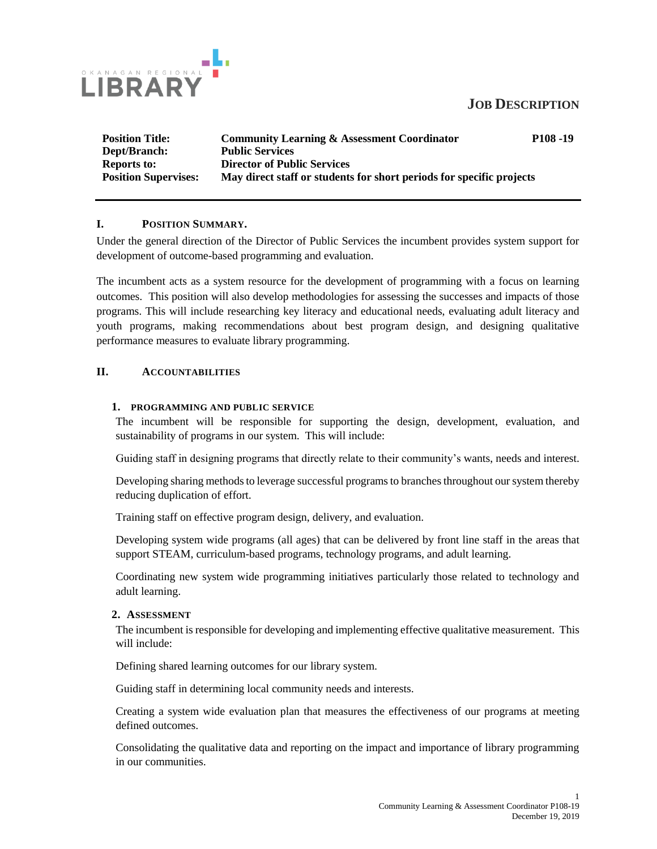## **JOB DESCRIPTION**



**Position Title: Community Learning & Assessment Coordinator P108 -19 Dept/Branch: Public Services Reports to: Director of Public Services Position Supervises: May direct staff or students for short periods for specific projects**

## **I. POSITION SUMMARY.**

Under the general direction of the Director of Public Services the incumbent provides system support for development of outcome-based programming and evaluation.

The incumbent acts as a system resource for the development of programming with a focus on learning outcomes. This position will also develop methodologies for assessing the successes and impacts of those programs. This will include researching key literacy and educational needs, evaluating adult literacy and youth programs, making recommendations about best program design, and designing qualitative performance measures to evaluate library programming.

### **II. ACCOUNTABILITIES**

### **1. PROGRAMMING AND PUBLIC SERVICE**

The incumbent will be responsible for supporting the design, development, evaluation, and sustainability of programs in our system. This will include:

Guiding staff in designing programs that directly relate to their community's wants, needs and interest.

Developing sharing methods to leverage successful programs to branches throughout our system thereby reducing duplication of effort.

Training staff on effective program design, delivery, and evaluation.

Developing system wide programs (all ages) that can be delivered by front line staff in the areas that support STEAM, curriculum-based programs, technology programs, and adult learning.

Coordinating new system wide programming initiatives particularly those related to technology and adult learning.

### **2. ASSESSMENT**

The incumbent is responsible for developing and implementing effective qualitative measurement. This will include:

Defining shared learning outcomes for our library system.

Guiding staff in determining local community needs and interests.

Creating a system wide evaluation plan that measures the effectiveness of our programs at meeting defined outcomes.

Consolidating the qualitative data and reporting on the impact and importance of library programming in our communities.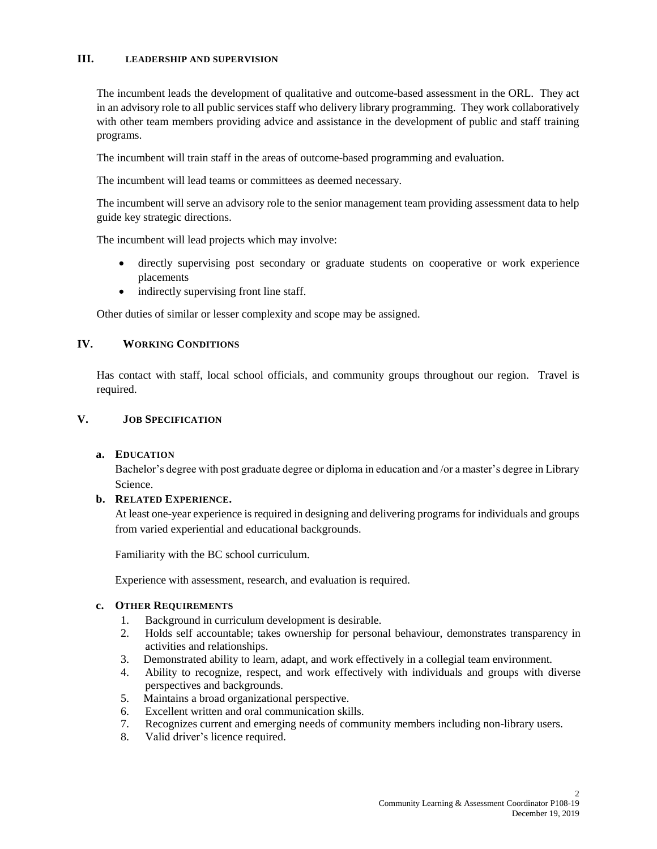### **III. LEADERSHIP AND SUPERVISION**

The incumbent leads the development of qualitative and outcome-based assessment in the ORL. They act in an advisory role to all public services staff who delivery library programming. They work collaboratively with other team members providing advice and assistance in the development of public and staff training programs.

The incumbent will train staff in the areas of outcome-based programming and evaluation.

The incumbent will lead teams or committees as deemed necessary.

The incumbent will serve an advisory role to the senior management team providing assessment data to help guide key strategic directions.

The incumbent will lead projects which may involve:

- directly supervising post secondary or graduate students on cooperative or work experience placements
- indirectly supervising front line staff.

Other duties of similar or lesser complexity and scope may be assigned.

## **IV. WORKING CONDITIONS**

Has contact with staff, local school officials, and community groups throughout our region. Travel is required.

## **V. JOB SPECIFICATION**

### **a. EDUCATION**

Bachelor's degree with post graduate degree or diploma in education and /or a master's degree in Library Science.

### **b. RELATED EXPERIENCE.**

At least one-year experience is required in designing and delivering programs for individuals and groups from varied experiential and educational backgrounds.

Familiarity with the BC school curriculum.

Experience with assessment, research, and evaluation is required.

### **c. OTHER REQUIREMENTS**

- 1. Background in curriculum development is desirable.
- 2. Holds self accountable; takes ownership for personal behaviour, demonstrates transparency in activities and relationships.
- 3. Demonstrated ability to learn, adapt, and work effectively in a collegial team environment.
- 4. Ability to recognize, respect, and work effectively with individuals and groups with diverse perspectives and backgrounds.
- 5. Maintains a broad organizational perspective.
- 6. Excellent written and oral communication skills.
- 7. Recognizes current and emerging needs of community members including non-library users.
- 8. Valid driver's licence required.